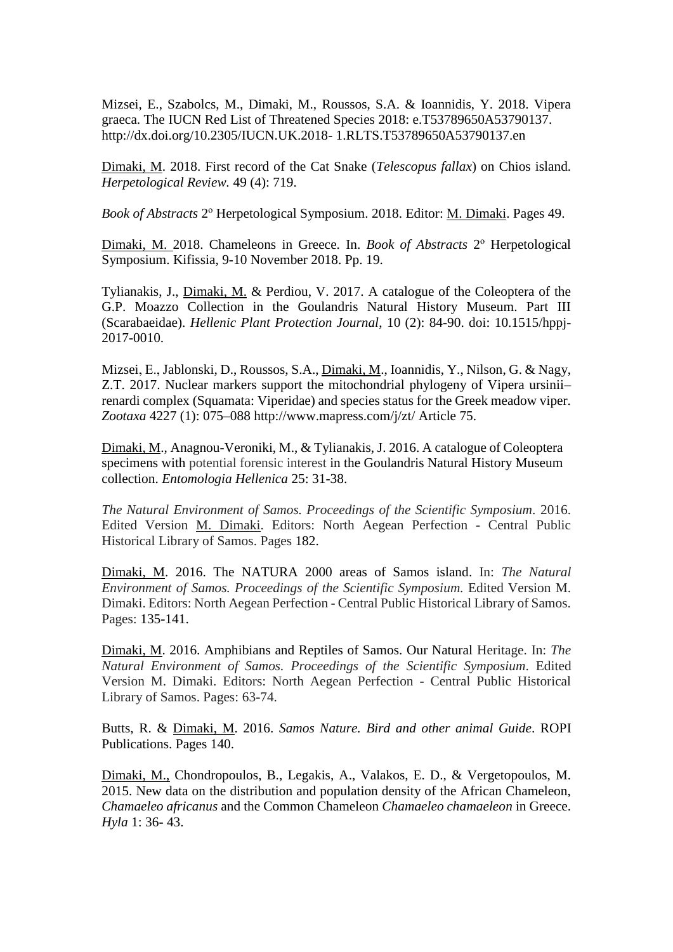Mizsei, E., Szabolcs, M., Dimaki, M., Roussos, S.A. & Ioannidis, Y. 2018. Vipera graeca. The IUCN Red List of Threatened Species 2018: e.T53789650A53790137. http://dx.doi.org/10.2305/IUCN.UK.2018- 1.RLTS.T53789650A53790137.en

Dimaki, M. 2018. First record of the Cat Snake (*Telescopus fallax*) on Chios island. *Herpetological Review.* 49 (4): 719.

Book of Abstracts 2<sup>°</sup> Herpetological Symposium. 2018. Editor: **M. Dimaki**. Pages 49.

Dimaki, M. 2018. Chameleons in Greece. In. *Book of Abstracts* 2<sup>°</sup> Herpetological Symposium. Kifissia, 9-10 November 2018. Pp. 19.

Tylianakis, J., Dimaki, M. & Perdiou, V. 2017. A catalogue of the Coleoptera of the G.P. Moazzo Collection in the Goulandris Natural History Museum. Part III (Scarabaeidae). *Hellenic Plant Protection Journal*, 10 (2): 84-90. doi: 10.1515/hppj-2017-0010.

Mizsei, Ε., Jablonski, D., Roussos, S.A., Dimaki, M., Ioannidis, Y., Nilson, G. & Nagy, Z.T. 2017. Nuclear markers support the mitochondrial phylogeny of Vipera ursinii– renardi complex (Squamata: Viperidae) and species status for the Greek meadow viper. *Zootaxa* 4227 (1): 075–088 http://www.mapress.com/j/zt/ Article 75.

Dimaki, M., Anagnou-Veroniki, Μ., & Tylianakis, J. 2016. A catalogue of Coleoptera specimens with potential forensic interest in the Goulandris Natural History Museum collection. *Entomologia Hellenica* 25: 31-38.

*The Natural Environment of Samos. Proceedings of the Scientific Symposium.* 2016. Edited Version M. Dimaki. Editors: North Aegean Perfection - Central Public Historical Library of Samos. Pages 182.

Dimaki, M. 2016. The NATURA 2000 areas of Samos island. In: *The Natural Environment of Samos. Proceedings of the Scientific Symposium.* Edited Version M. Dimaki. Editors: North Aegean Perfection - Central Public Historical Library of Samos. Pages: 135-141.

Dimaki, M. 2016. Amphibians and Reptiles of Samos. Our Natural Heritage. In: *The Natural Environment of Samos. Proceedings of the Scientific Symposium*. Edited Version M. Dimaki. Editors: North Aegean Perfection - Central Public Historical Library of Samos. Pages: 63-74.

Butts, R. & Dimaki, M. 2016. *Samos Nature. Bird and other animal Guide*. ROPI Publications. Pages 140.

Dimaki, M., Chondropoulos, B., Legakis, A., Valakos, E. D., & Vergetopoulos, M. 2015. New data on the distribution and population density of the African Chameleon, *Chamaeleo africanus* and the Common Chameleon *Chamaeleo chamaeleon* in Greece. *Hyla* 1: 36- 43.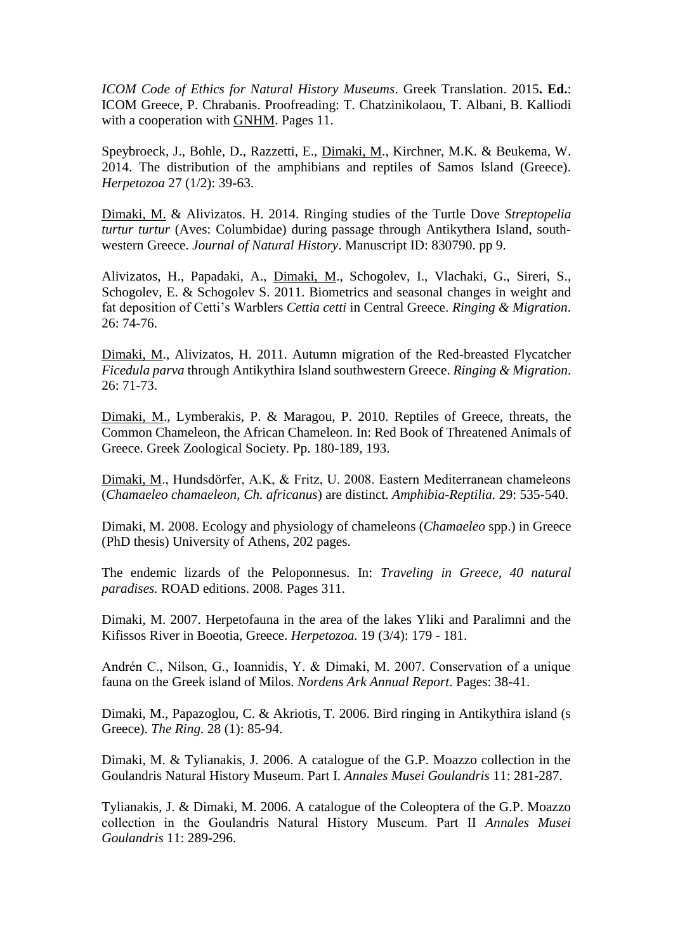*ICOM Code of Ethics for Natural History Museums*. Greek Translation. 2015**. Ed.**: ICOM Greece, P. Chrabanis. Proofreading: Τ. Chatzinikolaou, Τ. Albani, Β. Kalliodi with a cooperation with GNHM. Pages 11.

Speybroeck, J., Bohle, D., Razzetti, E., Dimaki, M., Kirchner, M.K. & Beukema, W. 2014. The distribution of the amphibians and reptiles of Samos Island (Greece). *Herpetozoa* 27 (1/2): 39-63.

Dimaki, M. & Alivizatos. H. 2014. Ringing studies of the Turtle Dove *Streptopelia turtur turtur* (Aves: Columbidae) during passage through Antikythera Island, southwestern Greece. *Journal of Natural History*. Manuscript ID: 830790. pp 9.

Alivizatos, H., Papadaki, A., Dimaki, M., Schogolev, I., Vlachaki, G., Sireri, S., Schogolev, E. & Schogolev S. 2011. Biometrics and seasonal changes in weight and fat deposition of Cetti's Warblers *Cettia cetti* in Central Greece. *Ringing & Migration*. 26: 74-76.

Dimaki, M., Alivizatos, H. 2011. Autumn migration of the Red-breasted Flycatcher *Ficedula parva* through Antikythira Island southwestern Greece. *Ringing & Migration*. 26: 71-73.

Dimaki, M., Lymberakis, P. & Maragou, P. 2010. Reptiles of Greece, threats, the Common Chameleon, the African Chameleon. In: Red Book of Threatened Animals of Greece. Greek Zoological Society. Pp. 180-189, 193.

Dimaki, M., Hundsdörfer, A.K, & Fritz, U. 2008. Eastern Mediterranean chameleons (*Chamaeleo chamaeleon*, *Ch. africanus*) are distinct. *Amphibia-Reptilia.* 29: 535-540.

Dimaki, M. 2008. Ecology and physiology of chameleons (*Chamaeleo* spp.) in Greece (PhD thesis) University of Athens, 202 pages.

The endemic lizards of the Peloponnesus. In: *Traveling in Greece, 40 natural paradises.* ROAD editions. 2008. Pages 311.

Dimaki, M. 2007. Herpetofauna in the area of the lakes Yliki and Paralimni and the Kifissos River in Boeotia, Greece. *Herpetozoa.* 19 (3/4): 179 - 181.

Andrén C., Nilson, G., Ioannidis, Y. & Dimaki, M. 2007. Conservation of a unique fauna on the Greek island of Milos. *Nordens Ark Annual Report*. Pages: 38-41.

Dimaki, M., Papazoglou, C. & Akriotis, T. 2006. Bird ringing in Antikythira island (s Greece). *The Ring*. 28 (1): 85-94.

Dimaki, M. & Tylianakis, J. 2006. A catalogue of the G.P. Moazzo collection in the Goulandris Natural History Museum. Part I. *Annales Musei Goulandris* 11: 281-287.

Tylianakis, J. & Dimaki, M. 2006. A catalogue of the Coleoptera of the G.P. Moazzo collection in the Goulandris Natural History Museum. Part IΙ *Annales Musei Goulandris* 11: 289-296.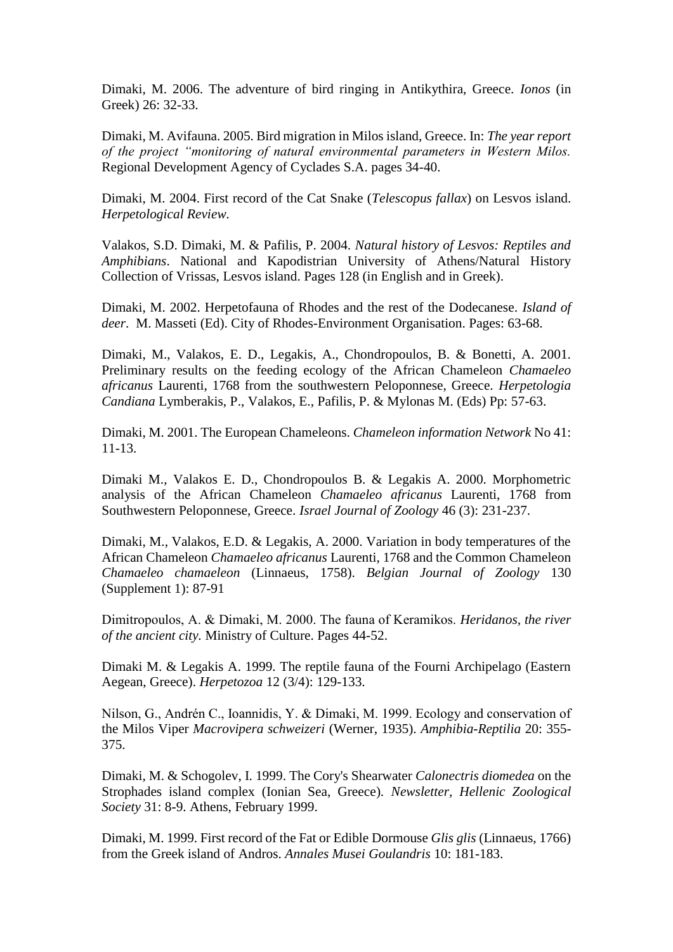Dimaki, M. 2006. The adventure of bird ringing in Antikythira, Greece. *Ionos* (in Greek) 26: 32-33.

Dimaki, M. Avifauna. 2005. Bird migration in Milos island, Greece. In: *The year report of the project "monitoring of natural environmental parameters in Western Milos.* Regional Development Agency of Cyclades S.A. pages 34-40.

Dimaki, M. 2004. First record of the Cat Snake (*Telescopus fallax*) on Lesvos island. *Herpetological Review.* 

Valakos, S.D. Dimaki, M. & Pafilis, P. 2004. *Natural history of Lesvos: Reptiles and Amphibians*. National and Kapodistrian University of Athens/Natural History Collection of Vrissas, Lesvos island. Pages 128 (in English and in Greek).

Dimaki, M. 2002. Herpetofauna of Rhodes and the rest of the Dodecanese. *Island of deer*. M. Masseti (Ed). City of Rhodes-Environment Organisation. Pages: 63-68.

Dimaki, M., Valakos, E. D., Legakis, A., Chondropoulos, B. & Bonetti, A. 2001. Preliminary results on the feeding ecology of the African Chameleon *Chamaeleo africanus* Laurenti, 1768 from the southwestern Peloponnese, Greece. *Herpetologia Candiana* Lymberakis, P., Valakos, E., Pafilis, P. & Mylonas M. (Eds) Pp: 57-63.

Dimaki, M. 2001. The European Chameleons. *Chameleon information Network* No 41: 11-13.

Dimaki M., Valakos E. D., Chondropoulos B. & Legakis A. 2000. Morphometric analysis of the African Chameleon *Chamaeleo africanus* Laurenti, 1768 from Southwestern Peloponnese, Greece. *Israel Journal of Zoology* 46 (3): 231-237.

Dimaki, M., Valakos, E.D. & Legakis, A. 2000. Variation in body temperatures of the African Chameleon *Chamaeleo africanus* Laurenti, 1768 and the Common Chameleon *Chamaeleo chamaeleon* (Linnaeus, 1758). *Belgian Journal of Zoology* 130 (Supplement 1): 87-91

Dimitropoulos, Α. & Dimaki, Μ. 2000. The fauna of Keramikos. *Heridanos, the river of the ancient city.* Ministry of Culture. Pages 44-52.

Dimaki M. & Legakis A. 1999. The reptile fauna of the Fourni Archipelago (Eastern Aegean, Greece). *Herpetozoa* 12 (3/4): 129-133.

Nilson, G., Andrén C., Ioannidis, Y. & Dimaki, M. 1999. Ecology and conservation of the Milos Viper *Macrovipera schweizeri* (Werner, 1935). *Amphibia-Reptilia* 20: 355- 375.

Dimaki, M. & Schogolev, I. 1999. The Cory's Shearwater *Calonectris diomedea* on the Strophades island complex (Ionian Sea, Greece)*. Newsletter, Hellenic Zoological Society* 31: 8-9. Athens, February 1999.

Dimaki, M. 1999. First record of the Fat or Edible Dormouse *Glis glis* (Linnaeus, 1766) from the Greek island of Andros. *Annales Musei Goulandris* 10: 181-183.